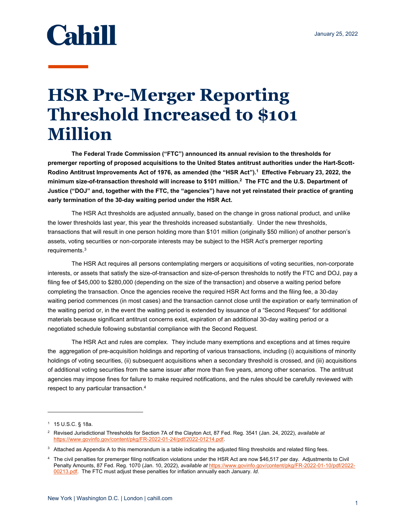## **Cahill**

## **HSR Pre-Merger Reporting Threshold Increased to \$101 Million**

**The Federal Trade Commission ("FTC") announced its annual revision to the thresholds for premerger reporting of proposed acquisitions to the United States antitrust authorities under the Hart-Scott-**Rodino Antitrust Improvements Act of 1976, as amended (the "HSR Act").<sup>1</sup> Effective February 23, 2022, the **minimum size-of-transaction threshold will increase to \$101 million.2 The FTC and the U.S. Department of Justice ("DOJ" and, together with the FTC, the "agencies") have not yet reinstated their practice of granting early termination of the 30-day waiting period under the HSR Act.** 

The HSR Act thresholds are adjusted annually, based on the change in gross national product, and unlike the lower thresholds last year, this year the thresholds increased substantially. Under the new thresholds, transactions that will result in one person holding more than \$101 million (originally \$50 million) of another person's assets, voting securities or non-corporate interests may be subject to the HSR Act's premerger reporting requirements.<sup>3</sup>

The HSR Act requires all persons contemplating mergers or acquisitions of voting securities, non-corporate interests, or assets that satisfy the size-of-transaction and size-of-person thresholds to notify the FTC and DOJ, pay a filing fee of \$45,000 to \$280,000 (depending on the size of the transaction) and observe a waiting period before completing the transaction. Once the agencies receive the required HSR Act forms and the filing fee, a 30-day waiting period commences (in most cases) and the transaction cannot close until the expiration or early termination of the waiting period or, in the event the waiting period is extended by issuance of a "Second Request" for additional materials because significant antitrust concerns exist, expiration of an additional 30-day waiting period or a negotiated schedule following substantial compliance with the Second Request.

The HSR Act and rules are complex. They include many exemptions and exceptions and at times require the aggregation of pre-acquisition holdings and reporting of various transactions, including (i) acquisitions of minority holdings of voting securities, (ii) subsequent acquisitions when a secondary threshold is crossed, and (iii) acquisitions of additional voting securities from the same issuer after more than five years, among other scenarios. The antitrust agencies may impose fines for failure to make required notifications, and the rules should be carefully reviewed with respect to any particular transaction.4

 $1 - 15$  U.S.C. § 18a.

<sup>2</sup> Revised Jurisdictional Thresholds for Section 7A of the Clayton Act, 87 Fed. Reg. 3541 (Jan. 24, 2022), *available at* https://www.govinfo.gov/content/pkg/FR-2022-01-24/pdf/2022-01214.pdf.

 $^3$  Attached as Appendix A to this memorandum is a table indicating the adjusted filing thresholds and related filing fees.

<sup>4</sup> The civil penalties for premerger filing notification violations under the HSR Act are now \$46,517 per day. Adjustments to Civil Penalty Amounts, 87 Fed. Reg. 1070 (Jan. 10, 2022), *available at* https://www.govinfo.gov/content/pkg/FR-2022-01-10/pdf/2022- 00213.pdf. The FTC must adjust these penalties for inflation annually each January. *Id*.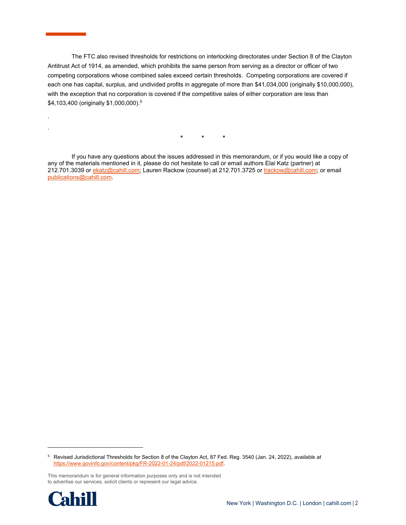The FTC also revised thresholds for restrictions on interlocking directorates under Section 8 of the Clayton Antitrust Act of 1914, as amended, which prohibits the same person from serving as a director or officer of two competing corporations whose combined sales exceed certain thresholds. Competing corporations are covered if each one has capital, surplus, and undivided profits in aggregate of more than \$41,034,000 (originally \$10,000,000), with the exception that no corporation is covered if the competitive sales of either corporation are less than \$4,103,400 (originally \$1,000,000).5

\* \* \*

 If you have any questions about the issues addressed in this memorandum, or if you would like a copy of any of the materials mentioned in it, please do not hesitate to call or email authors Elai Katz (partner) at 212.701.3039 or ekatz@cahill.com; Lauren Rackow (counsel) at 212.701.3725 or *Irackow@cahill.com; or email* publications@cahill.com.

This memorandum is for general information purposes only and is not intended to advertise our services, solicit clients or represent our legal advice.



 $\overline{a}$ 

. .

<sup>5</sup> Revised Jurisdictional Thresholds for Section 8 of the Clayton Act, 87 Fed. Reg. 3540 (Jan. 24, 2022), *available at*  https://www.govinfo.gov/content/pkg/FR-2022-01-24/pdf/2022-01215.pdf.